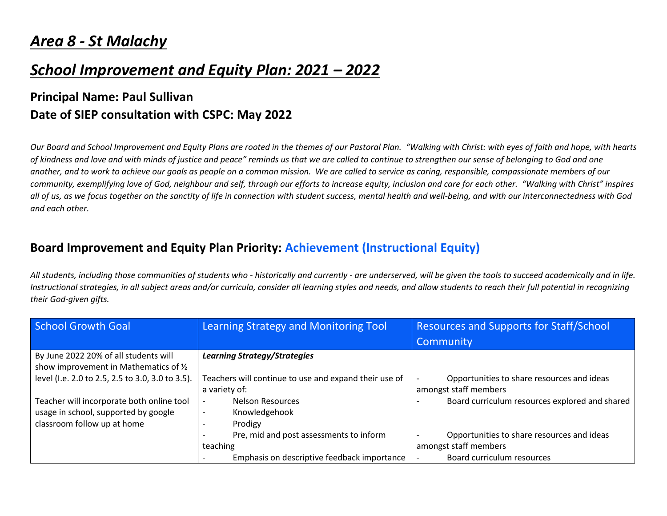# *Area 8 - St Malachy*

# *School Improvement and Equity Plan: 2021 – 2022*

### **Principal Name: Paul Sullivan Date of SIEP consultation with CSPC: May 2022**

*Our Board and School Improvement and Equity Plans are rooted in the themes of our Pastoral Plan. "Walking with Christ: with eyes of faith and hope, with hearts of kindness and love and with minds of justice and peace" reminds us that we are called to continue to strengthen our sense of belonging to God and one another, and to work to achieve our goals as people on a common mission. We are called to service as caring, responsible, compassionate members of our community, exemplifying love of God, neighbour and self, through our efforts to increase equity, inclusion and care for each other. "Walking with Christ" inspires all of us, as we focus together on the sanctity of life in connection with student success, mental health and well-being, and with our interconnectedness with God and each other.*

#### **Board Improvement and Equity Plan Priority: Achievement (Instructional Equity)**

*All students, including those communities of students who - historically and currently - are underserved, will be given the tools to succeed academically and in life. Instructional strategies, in all subject areas and/or curricula, consider all learning styles and needs, and allow students to reach their full potential in recognizing their God-given gifts.*

| School Growth Goal                               | Learning Strategy and Monitoring Tool                 | <b>Resources and Supports for Staff/School</b> |
|--------------------------------------------------|-------------------------------------------------------|------------------------------------------------|
|                                                  |                                                       | Community                                      |
| By June 2022 20% of all students will            | <b>Learning Strategy/Strategies</b>                   |                                                |
| show improvement in Mathematics of 1/2           |                                                       |                                                |
| level (I.e. 2.0 to 2.5, 2.5 to 3.0, 3.0 to 3.5). | Teachers will continue to use and expand their use of | Opportunities to share resources and ideas     |
|                                                  | a variety of:                                         | amongst staff members                          |
| Teacher will incorporate both online tool        | <b>Nelson Resources</b>                               | Board curriculum resources explored and shared |
| usage in school, supported by google             | Knowledgehook<br>$\overline{\phantom{a}}$             |                                                |
| classroom follow up at home                      | Prodigy                                               |                                                |
|                                                  | Pre, mid and post assessments to inform               | Opportunities to share resources and ideas     |
|                                                  | teaching                                              | amongst staff members                          |
|                                                  | Emphasis on descriptive feedback importance           | Board curriculum resources                     |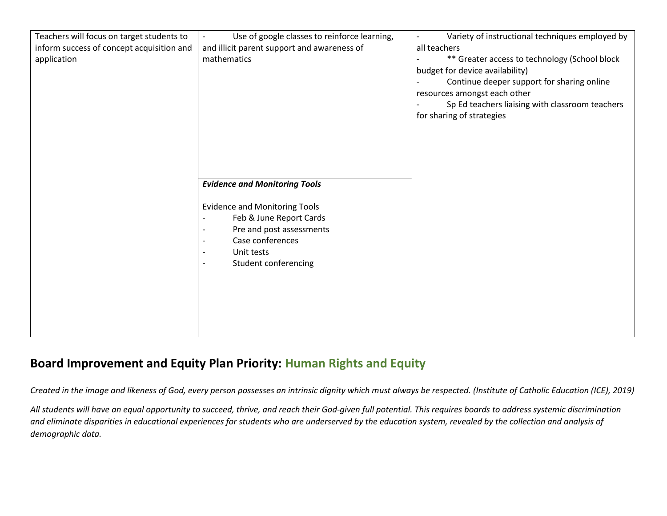| Teachers will focus on target students to | Use of google classes to reinforce learning,                                                                                                                                      | Variety of instructional techniques employed by<br>$\overline{\phantom{a}}$                                                                                                                                                                    |
|-------------------------------------------|-----------------------------------------------------------------------------------------------------------------------------------------------------------------------------------|------------------------------------------------------------------------------------------------------------------------------------------------------------------------------------------------------------------------------------------------|
| inform success of concept acquisition and | and illicit parent support and awareness of                                                                                                                                       | all teachers                                                                                                                                                                                                                                   |
| application                               | mathematics                                                                                                                                                                       | ** Greater access to technology (School block<br>budget for device availability)<br>Continue deeper support for sharing online<br>resources amongst each other<br>Sp Ed teachers liaising with classroom teachers<br>for sharing of strategies |
|                                           | <b>Evidence and Monitoring Tools</b>                                                                                                                                              |                                                                                                                                                                                                                                                |
|                                           | <b>Evidence and Monitoring Tools</b><br>Feb & June Report Cards<br>Pre and post assessments<br>Case conferences<br>$\overline{\phantom{a}}$<br>Unit tests<br>Student conferencing |                                                                                                                                                                                                                                                |

#### **Board Improvement and Equity Plan Priority: Human Rights and Equity**

*Created in the image and likeness of God, every person possesses an intrinsic dignity which must always be respected. (Institute of Catholic Education (ICE), 2019)*

*All students will have an equal opportunity to succeed, thrive, and reach their God-given full potential. This requires boards to address systemic discrimination and eliminate disparities in educational experiences for students who are underserved by the education system, revealed by the collection and analysis of demographic data.*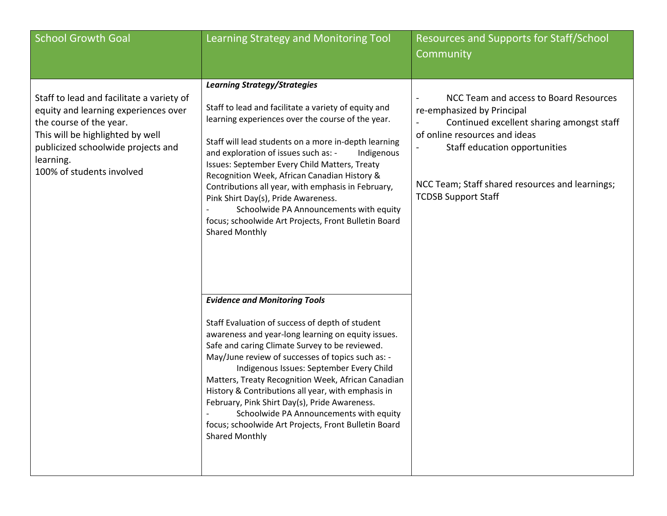| <b>School Growth Goal</b>                                                                                                                                                                                                        | Learning Strategy and Monitoring Tool                                                                                                                                                                                                                                                                                                                                                                                                                                                                                                                                                     | <b>Resources and Supports for Staff/School</b><br>Community                                                                                                                                                                                                          |
|----------------------------------------------------------------------------------------------------------------------------------------------------------------------------------------------------------------------------------|-------------------------------------------------------------------------------------------------------------------------------------------------------------------------------------------------------------------------------------------------------------------------------------------------------------------------------------------------------------------------------------------------------------------------------------------------------------------------------------------------------------------------------------------------------------------------------------------|----------------------------------------------------------------------------------------------------------------------------------------------------------------------------------------------------------------------------------------------------------------------|
| Staff to lead and facilitate a variety of<br>equity and learning experiences over<br>the course of the year.<br>This will be highlighted by well<br>publicized schoolwide projects and<br>learning.<br>100% of students involved | <b>Learning Strategy/Strategies</b><br>Staff to lead and facilitate a variety of equity and<br>learning experiences over the course of the year.<br>Staff will lead students on a more in-depth learning<br>and exploration of issues such as: -<br>Indigenous<br>Issues: September Every Child Matters, Treaty<br>Recognition Week, African Canadian History &<br>Contributions all year, with emphasis in February,<br>Pink Shirt Day(s), Pride Awareness.<br>Schoolwide PA Announcements with equity<br>focus; schoolwide Art Projects, Front Bulletin Board<br><b>Shared Monthly</b>  | NCC Team and access to Board Resources<br>re-emphasized by Principal<br>Continued excellent sharing amongst staff<br>of online resources and ideas<br>Staff education opportunities<br>NCC Team; Staff shared resources and learnings;<br><b>TCDSB Support Staff</b> |
|                                                                                                                                                                                                                                  | <b>Evidence and Monitoring Tools</b><br>Staff Evaluation of success of depth of student<br>awareness and year-long learning on equity issues.<br>Safe and caring Climate Survey to be reviewed.<br>May/June review of successes of topics such as: -<br>Indigenous Issues: September Every Child<br>Matters, Treaty Recognition Week, African Canadian<br>History & Contributions all year, with emphasis in<br>February, Pink Shirt Day(s), Pride Awareness.<br>Schoolwide PA Announcements with equity<br>focus; schoolwide Art Projects, Front Bulletin Board<br><b>Shared Monthly</b> |                                                                                                                                                                                                                                                                      |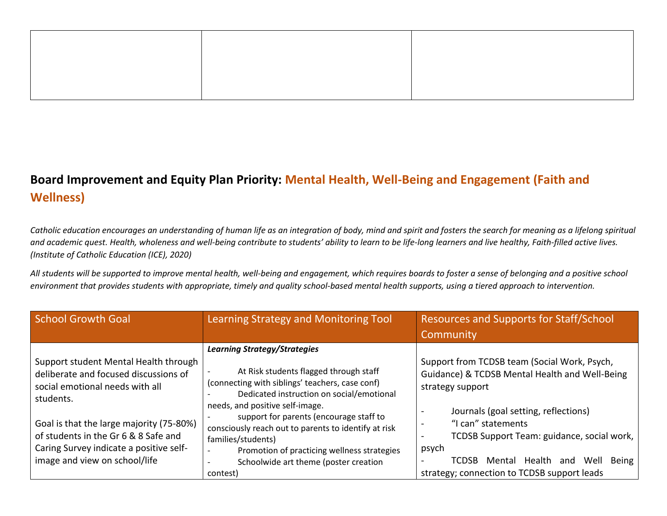### **Board Improvement and Equity Plan Priority: Mental Health, Well-Being and Engagement (Faith and Wellness)**

*Catholic education encourages an understanding of human life as an integration of body, mind and spirit and fosters the search for meaning as a lifelong spiritual and academic quest. Health, wholeness and well-being contribute to students' ability to learn to be life-long learners and live healthy, Faith-filled active lives. (Institute of Catholic Education (ICE), 2020)*

*All students will be supported to improve mental health, well-being and engagement, which requires boards to foster a sense of belonging and a positive school environment that provides students with appropriate, timely and quality school-based mental health supports, using a tiered approach to intervention.*

| <b>School Growth Goal</b>                                                                                                                                                                                                                                                                      | Learning Strategy and Monitoring Tool                                                                                                                                                                                                                                                                                                                                                                                                         | <b>Resources and Supports for Staff/School</b><br>Community                                                                                                                                                                                                                                                                                     |
|------------------------------------------------------------------------------------------------------------------------------------------------------------------------------------------------------------------------------------------------------------------------------------------------|-----------------------------------------------------------------------------------------------------------------------------------------------------------------------------------------------------------------------------------------------------------------------------------------------------------------------------------------------------------------------------------------------------------------------------------------------|-------------------------------------------------------------------------------------------------------------------------------------------------------------------------------------------------------------------------------------------------------------------------------------------------------------------------------------------------|
| Support student Mental Health through<br>deliberate and focused discussions of<br>social emotional needs with all<br>students.<br>Goal is that the large majority (75-80%)<br>of students in the Gr 6 & 8 Safe and<br>Caring Survey indicate a positive self-<br>image and view on school/life | <b>Learning Strategy/Strategies</b><br>At Risk students flagged through staff<br>(connecting with siblings' teachers, case conf)<br>Dedicated instruction on social/emotional<br>needs, and positive self-image.<br>support for parents (encourage staff to<br>consciously reach out to parents to identify at risk<br>families/students)<br>Promotion of practicing wellness strategies<br>Schoolwide art theme (poster creation<br>contest) | Support from TCDSB team (Social Work, Psych,<br>Guidance) & TCDSB Mental Health and Well-Being<br>strategy support<br>Journals (goal setting, reflections)<br>"I can" statements<br>TCDSB Support Team: guidance, social work,<br>psych<br>Mental Health<br><b>TCDSB</b><br>Well<br>Being<br>and<br>strategy; connection to TCDSB support leads |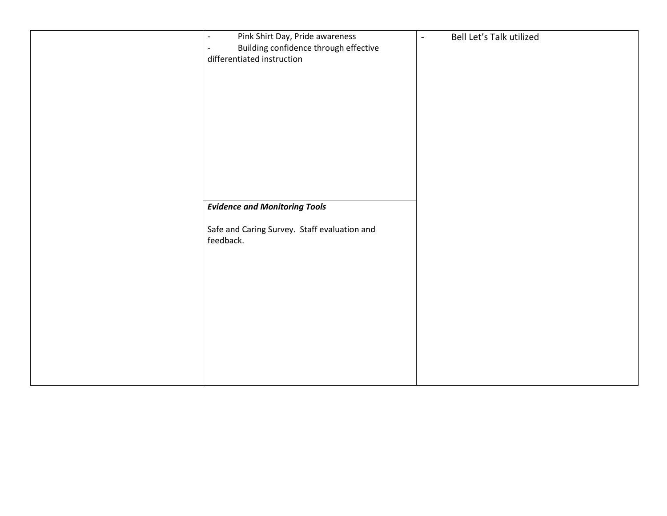| Pink Shirt Day, Pride awareness<br>$\overline{\phantom{a}}$ | Bell Let's Talk utilized<br>$\blacksquare$ |
|-------------------------------------------------------------|--------------------------------------------|
| Building confidence through effective                       |                                            |
| differentiated instruction                                  |                                            |
|                                                             |                                            |
|                                                             |                                            |
|                                                             |                                            |
|                                                             |                                            |
|                                                             |                                            |
|                                                             |                                            |
|                                                             |                                            |
|                                                             |                                            |
|                                                             |                                            |
|                                                             |                                            |
|                                                             |                                            |
|                                                             |                                            |
|                                                             |                                            |
| <b>Evidence and Monitoring Tools</b>                        |                                            |
|                                                             |                                            |
| Safe and Caring Survey. Staff evaluation and                |                                            |
| feedback.                                                   |                                            |
|                                                             |                                            |
|                                                             |                                            |
|                                                             |                                            |
|                                                             |                                            |
|                                                             |                                            |
|                                                             |                                            |
|                                                             |                                            |
|                                                             |                                            |
|                                                             |                                            |
|                                                             |                                            |
|                                                             |                                            |
|                                                             |                                            |
|                                                             |                                            |
|                                                             |                                            |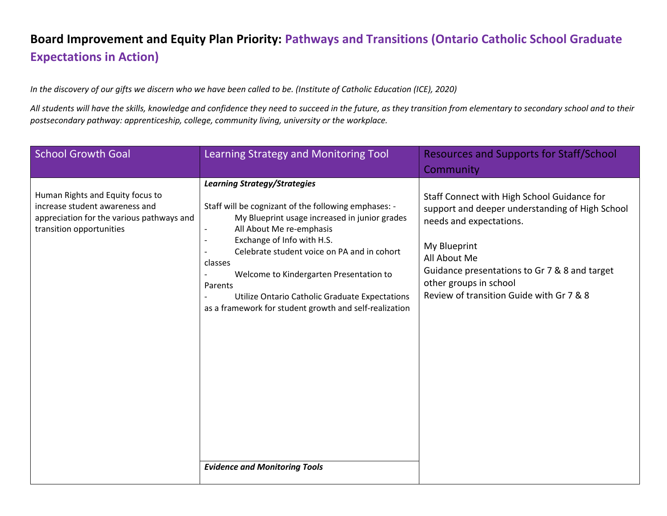## **Board Improvement and Equity Plan Priority: Pathways and Transitions (Ontario Catholic School Graduate Expectations in Action)**

*In the discovery of our gifts we discern who we have been called to be. (Institute of Catholic Education (ICE), 2020)*

All students will have the skills, knowledge and confidence they need to succeed in the future, as they transition from elementary to secondary school and to their *postsecondary pathway: apprenticeship, college, community living, university or the workplace.*

| <b>School Growth Goal</b>                                                                                                                   | Learning Strategy and Monitoring Tool                                                                                                                                                                                                                                                                                                                                                                                                                                                                  | <b>Resources and Supports for Staff/School</b>                                                                                                                                                                                                                                   |
|---------------------------------------------------------------------------------------------------------------------------------------------|--------------------------------------------------------------------------------------------------------------------------------------------------------------------------------------------------------------------------------------------------------------------------------------------------------------------------------------------------------------------------------------------------------------------------------------------------------------------------------------------------------|----------------------------------------------------------------------------------------------------------------------------------------------------------------------------------------------------------------------------------------------------------------------------------|
|                                                                                                                                             |                                                                                                                                                                                                                                                                                                                                                                                                                                                                                                        | Community                                                                                                                                                                                                                                                                        |
| Human Rights and Equity focus to<br>increase student awareness and<br>appreciation for the various pathways and<br>transition opportunities | <b>Learning Strategy/Strategies</b><br>Staff will be cognizant of the following emphases: -<br>My Blueprint usage increased in junior grades<br>All About Me re-emphasis<br>$\overline{\phantom{a}}$<br>Exchange of Info with H.S.<br>Celebrate student voice on PA and in cohort<br>classes<br>Welcome to Kindergarten Presentation to<br>Parents<br>Utilize Ontario Catholic Graduate Expectations<br>as a framework for student growth and self-realization<br><b>Evidence and Monitoring Tools</b> | Staff Connect with High School Guidance for<br>support and deeper understanding of High School<br>needs and expectations.<br>My Blueprint<br>All About Me<br>Guidance presentations to Gr 7 & 8 and target<br>other groups in school<br>Review of transition Guide with Gr 7 & 8 |
|                                                                                                                                             |                                                                                                                                                                                                                                                                                                                                                                                                                                                                                                        |                                                                                                                                                                                                                                                                                  |